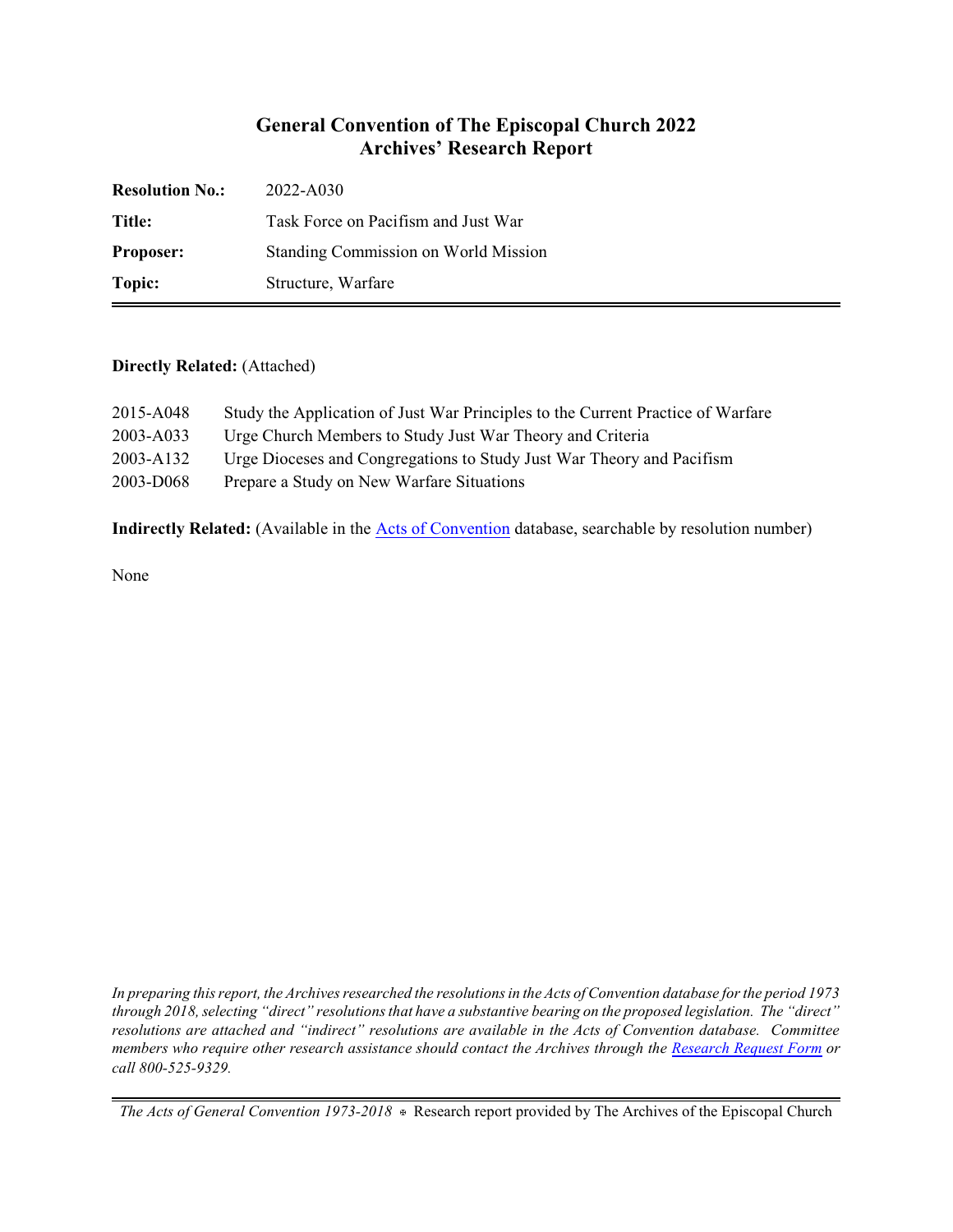# **General Convention of The Episcopal Church 2022 Archives' Research Report**

| <b>Resolution No.:</b> | 2022-A030                            |  |
|------------------------|--------------------------------------|--|
| Title:                 | Task Force on Pacifism and Just War  |  |
| <b>Proposer:</b>       | Standing Commission on World Mission |  |
| Topic:                 | Structure, Warfare                   |  |

#### **Directly Related:** (Attached)

| 2015-A048 | Study the Application of Just War Principles to the Current Practice of Warfare |
|-----------|---------------------------------------------------------------------------------|
| 2003-A033 | Urge Church Members to Study Just War Theory and Criteria                       |
| 2003-A132 | Urge Dioceses and Congregations to Study Just War Theory and Pacifism           |
| 2003-D068 | Prepare a Study on New Warfare Situations                                       |
|           |                                                                                 |

**Indirectly Related:** (Available in the [Acts of Convention](https://www.episcopalarchives.org/e-archives/acts/) database, searchable by resolution number)

None

*In preparing this report, the Archives researched the resolutions in the Acts of Convention database for the period 1973 through 2018, selecting "direct" resolutions that have a substantive bearing on the proposed legislation. The "direct" resolutions are attached and "indirect" resolutions are available in the Acts of Convention database. Committee members who require other research assistance should contact the Archives through the Research [Request Form](https://www.episcopalarchives.org/contact/research-request-form) or call 800-525-9329.*

*The Acts of General Convention 1973-2018*  $*$  Research report provided by The Archives of the Episcopal Church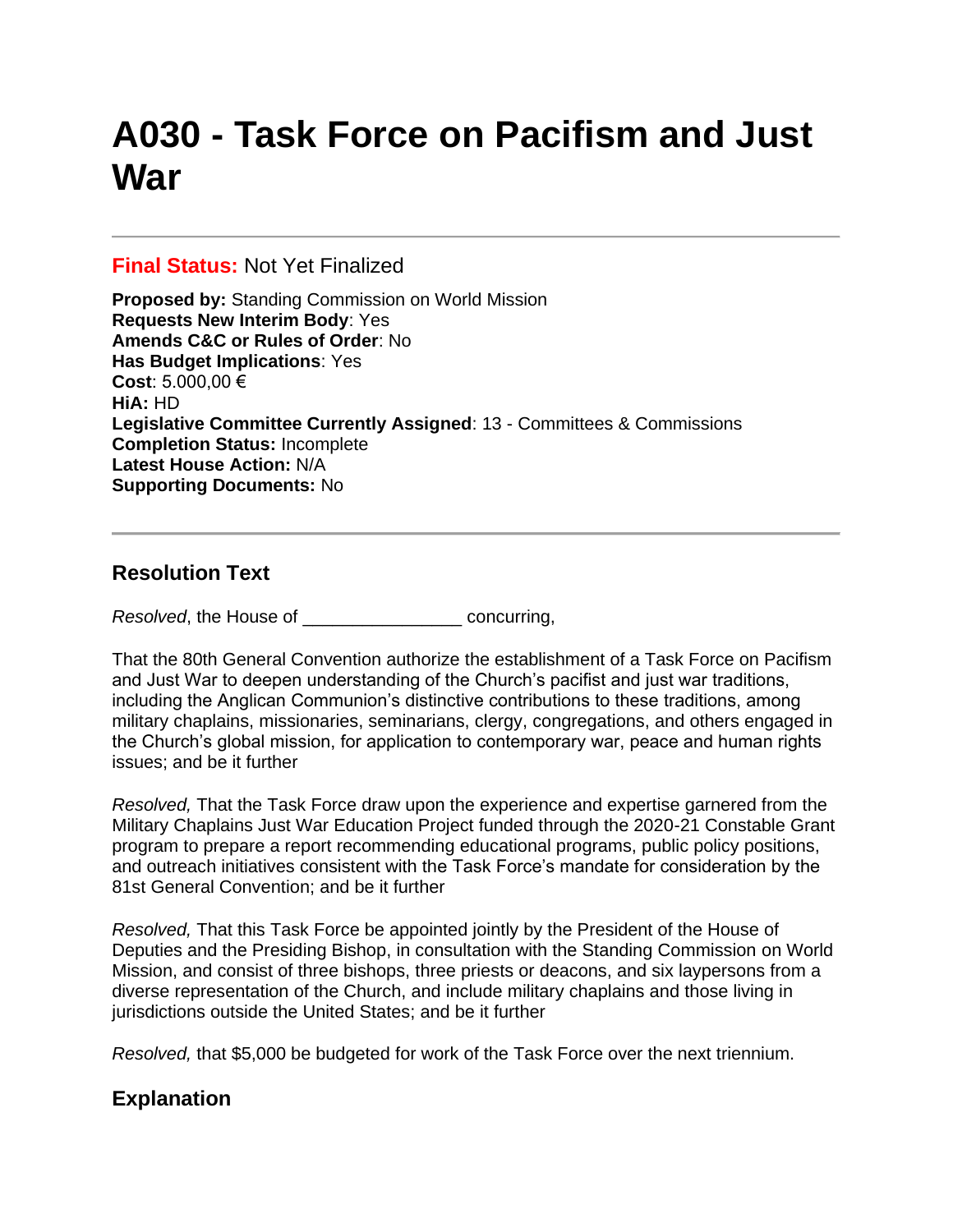# **A030 - Task Force on Pacifism and Just War**

### **Final Status:** Not Yet Finalized

**Proposed by:** Standing Commission on World Mission **Requests New Interim Body**: Yes **Amends C&C or Rules of Order**: No **Has Budget Implications**: Yes **Cost**: 5.000,00 € **HiA:** HD **Legislative Committee Currently Assigned**: 13 - Committees & Commissions **Completion Status:** Incomplete **Latest House Action:** N/A **Supporting Documents:** No

# **Resolution Text**

*Resolved*, the House of \_\_\_\_\_\_\_\_\_\_\_\_\_\_\_\_ concurring,

That the 80th General Convention authorize the establishment of a Task Force on Pacifism and Just War to deepen understanding of the Church's pacifist and just war traditions, including the Anglican Communion's distinctive contributions to these traditions, among military chaplains, missionaries, seminarians, clergy, congregations, and others engaged in the Church's global mission, for application to contemporary war, peace and human rights issues; and be it further

*Resolved,* That the Task Force draw upon the experience and expertise garnered from the Military Chaplains Just War Education Project funded through the 2020-21 Constable Grant program to prepare a report recommending educational programs, public policy positions, and outreach initiatives consistent with the Task Force's mandate for consideration by the 81st General Convention; and be it further

*Resolved,* That this Task Force be appointed jointly by the President of the House of Deputies and the Presiding Bishop, in consultation with the Standing Commission on World Mission, and consist of three bishops, three priests or deacons, and six laypersons from a diverse representation of the Church, and include military chaplains and those living in jurisdictions outside the United States; and be it further

*Resolved,* that \$5,000 be budgeted for work of the Task Force over the next triennium.

# **Explanation**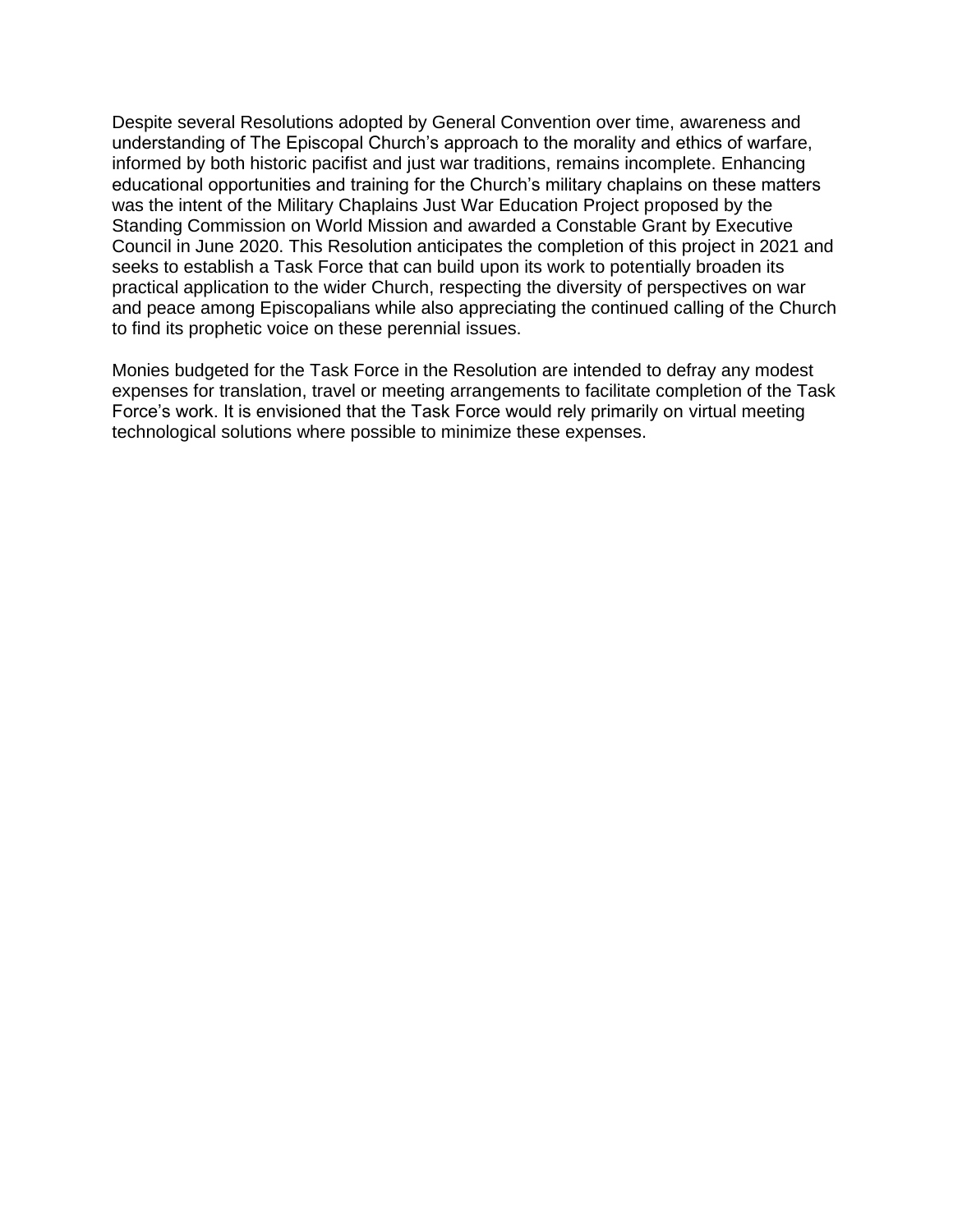Despite several Resolutions adopted by General Convention over time, awareness and understanding of The Episcopal Church's approach to the morality and ethics of warfare, informed by both historic pacifist and just war traditions, remains incomplete. Enhancing educational opportunities and training for the Church's military chaplains on these matters was the intent of the Military Chaplains Just War Education Project proposed by the Standing Commission on World Mission and awarded a Constable Grant by Executive Council in June 2020. This Resolution anticipates the completion of this project in 2021 and seeks to establish a Task Force that can build upon its work to potentially broaden its practical application to the wider Church, respecting the diversity of perspectives on war and peace among Episcopalians while also appreciating the continued calling of the Church to find its prophetic voice on these perennial issues.

Monies budgeted for the Task Force in the Resolution are intended to defray any modest expenses for translation, travel or meeting arrangements to facilitate completion of the Task Force's work. It is envisioned that the Task Force would rely primarily on virtual meeting technological solutions where possible to minimize these expenses.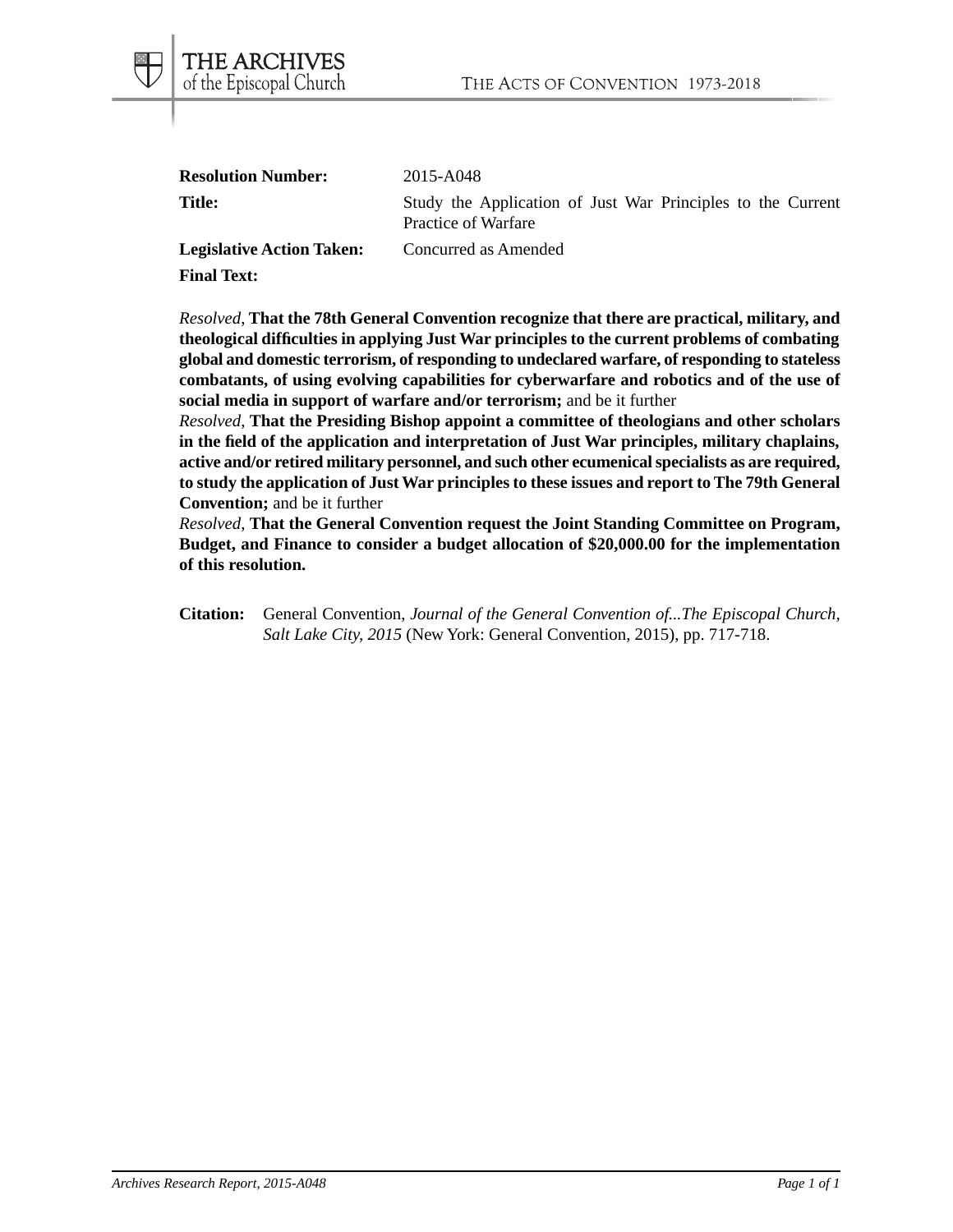| <b>Resolution Number:</b>        | 2015-A048                                                                          |
|----------------------------------|------------------------------------------------------------------------------------|
| <b>Title:</b>                    | Study the Application of Just War Principles to the Current<br>Practice of Warfare |
| <b>Legislative Action Taken:</b> | Concurred as Amended                                                               |
| <b>Final Text:</b>               |                                                                                    |

*Resolved*, **That the 78th General Convention recognize that there are practical, military, and theological difficulties in applying Just War principles to the current problems of combating global and domestic terrorism, of responding to undeclared warfare, of responding to stateless combatants, of using evolving capabilities for cyberwarfare and robotics and of the use of social media in support of warfare and/or terrorism;** and be it further

*Resolved*, **That the Presiding Bishop appoint a committee of theologians and other scholars in the field of the application and interpretation of Just War principles, military chaplains, active and/or retired military personnel, and such other ecumenical specialists as are required, to study the application of Just War principles to these issues and report to The 79th General Convention;** and be it further

*Resolved*, **That the General Convention request the Joint Standing Committee on Program, Budget, and Finance to consider a budget allocation of \$20,000.00 for the implementation of this resolution.**

**Citation:** General Convention, *Journal of the General Convention of...The Episcopal Church, Salt Lake City, 2015* (New York: General Convention, 2015), pp. 717-718.

THE ARCHIVES of the Episcopal Church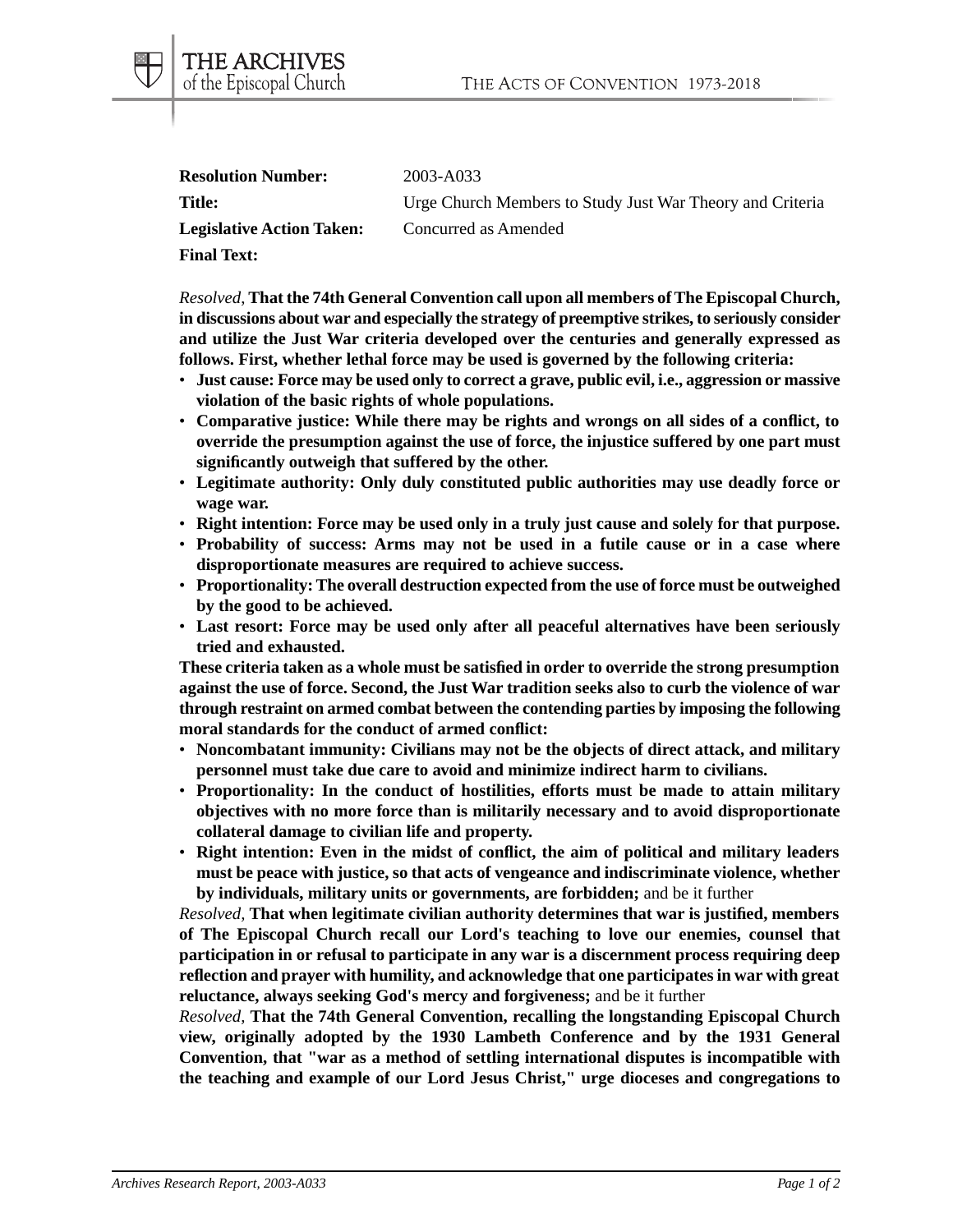| <b>Resolution Number:</b>        | 2003-A033                                                 |
|----------------------------------|-----------------------------------------------------------|
| <b>Title:</b>                    | Urge Church Members to Study Just War Theory and Criteria |
| <b>Legislative Action Taken:</b> | Concurred as Amended                                      |
| <b>Final Text:</b>               |                                                           |

THE ARCHIVES of the Episcopal Church

*Resolved*, **That the 74th General Convention call upon all members of The Episcopal Church, in discussions about war and especially the strategy of preemptive strikes, to seriously consider and utilize the Just War criteria developed over the centuries and generally expressed as follows. First, whether lethal force may be used is governed by the following criteria:**

- **Just cause: Force may be used only to correct a grave, public evil, i.e., aggression or massive violation of the basic rights of whole populations.**
- **Comparative justice: While there may be rights and wrongs on all sides of a conflict, to override the presumption against the use of force, the injustice suffered by one part must significantly outweigh that suffered by the other.**
- **Legitimate authority: Only duly constituted public authorities may use deadly force or wage war.**
- **Right intention: Force may be used only in a truly just cause and solely for that purpose.**
- **Probability of success: Arms may not be used in a futile cause or in a case where disproportionate measures are required to achieve success.**
- **Proportionality: The overall destruction expected from the use of force must be outweighed by the good to be achieved.**
- **Last resort: Force may be used only after all peaceful alternatives have been seriously tried and exhausted.**

**These criteria taken as a whole must be satisfied in order to override the strong presumption against the use of force. Second, the Just War tradition seeks also to curb the violence of war through restraint on armed combat between the contending parties by imposing the following moral standards for the conduct of armed conflict:**

- **Noncombatant immunity: Civilians may not be the objects of direct attack, and military personnel must take due care to avoid and minimize indirect harm to civilians.**
- **Proportionality: In the conduct of hostilities, efforts must be made to attain military objectives with no more force than is militarily necessary and to avoid disproportionate collateral damage to civilian life and property.**
- **Right intention: Even in the midst of conflict, the aim of political and military leaders must be peace with justice, so that acts of vengeance and indiscriminate violence, whether by individuals, military units or governments, are forbidden;** and be it further

*Resolved,* **That when legitimate civilian authority determines that war is justified, members of The Episcopal Church recall our Lord's teaching to love our enemies, counsel that participation in or refusal to participate in any war is a discernment process requiring deep reflection and prayer with humility, and acknowledge that one participates in war with great reluctance, always seeking God's mercy and forgiveness;** and be it further

*Resolved,* **That the 74th General Convention, recalling the longstanding Episcopal Church view, originally adopted by the 1930 Lambeth Conference and by the 1931 General Convention, that "war as a method of settling international disputes is incompatible with the teaching and example of our Lord Jesus Christ," urge dioceses and congregations to**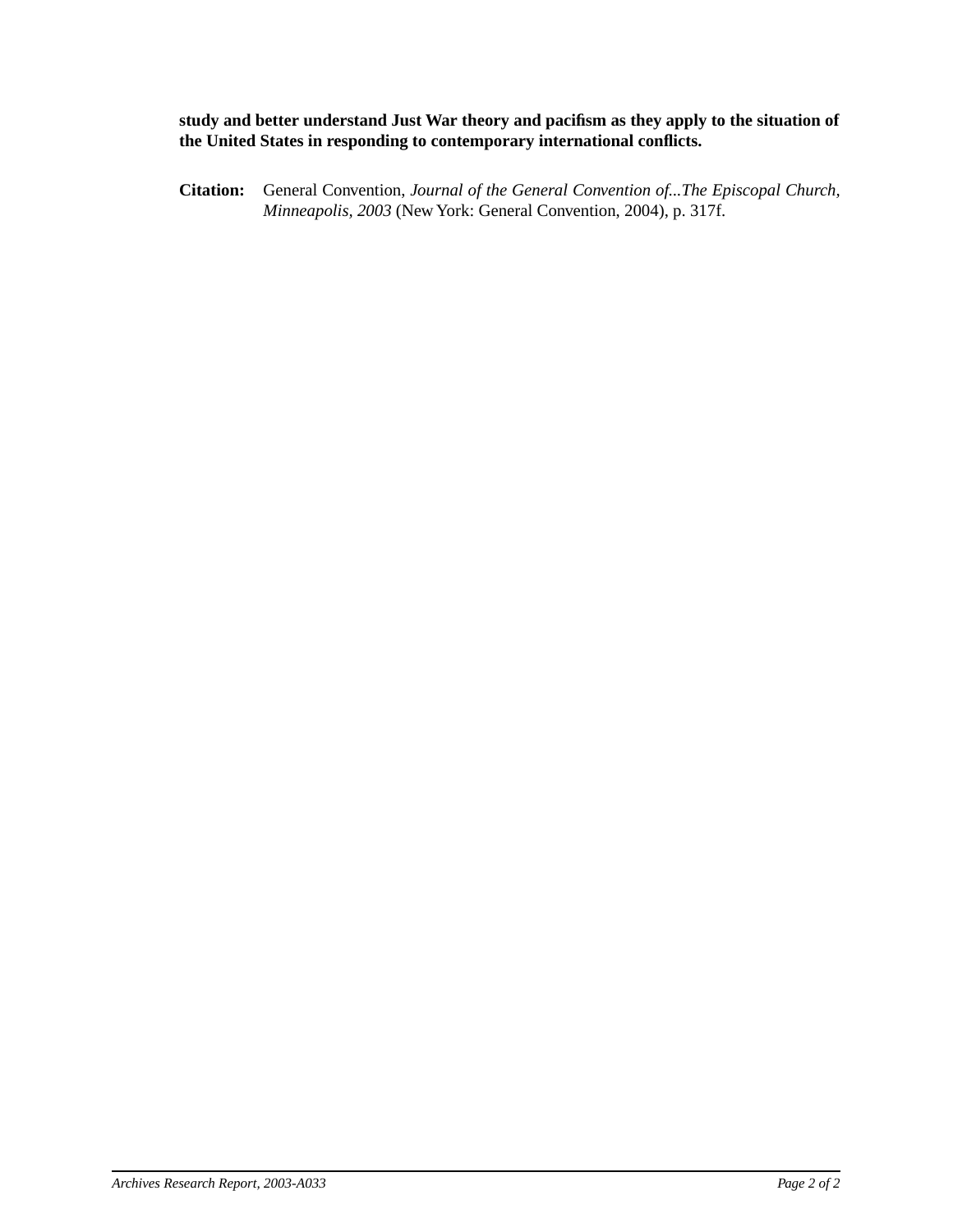**study and better understand Just War theory and pacifism as they apply to the situation of the United States in responding to contemporary international conflicts.**

**Citation:** General Convention, *Journal of the General Convention of...The Episcopal Church, Minneapolis, 2003* (New York: General Convention, 2004), p. 317f.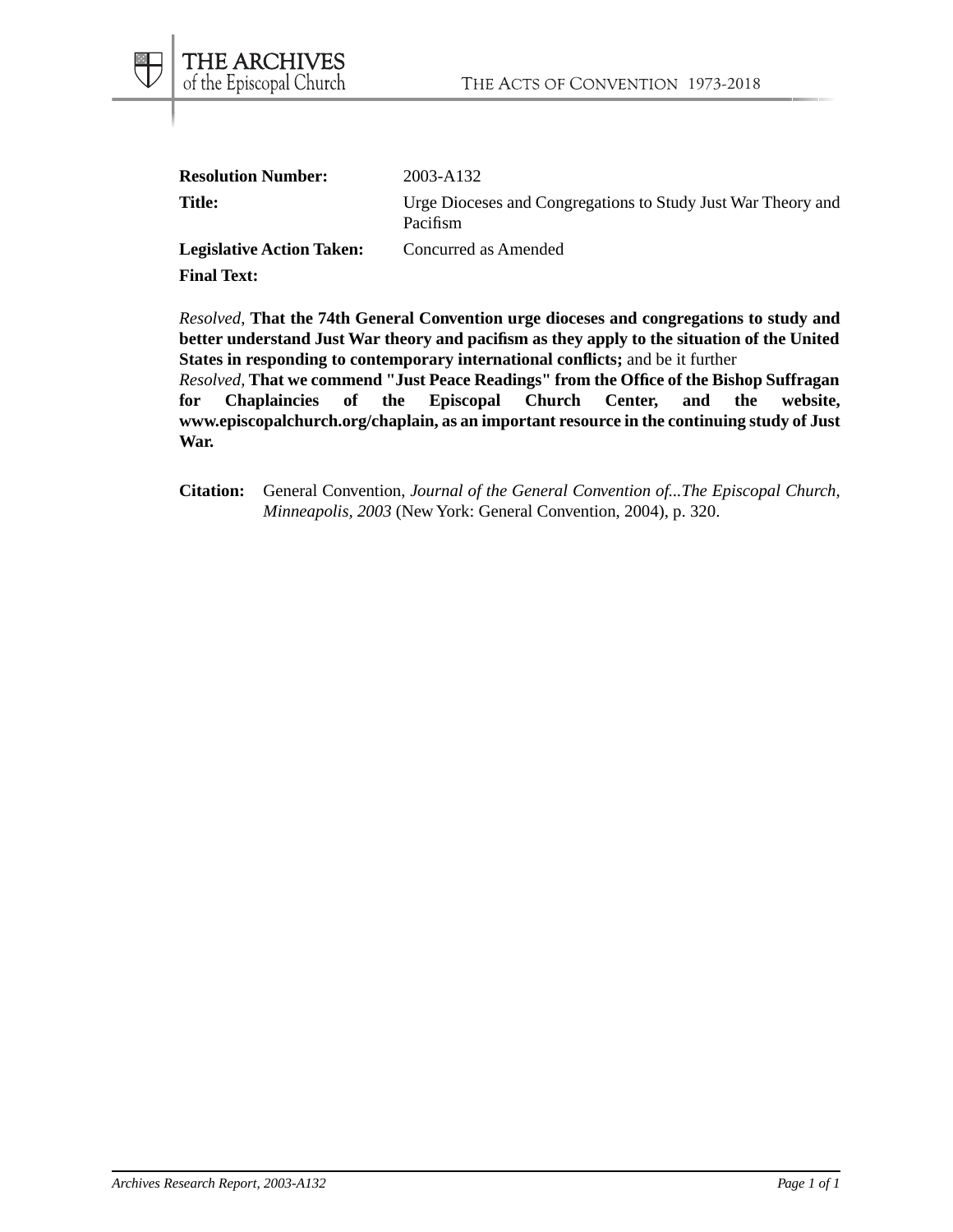| <b>Resolution Number:</b>        | 2003-A132                                                                |
|----------------------------------|--------------------------------------------------------------------------|
| <b>Title:</b>                    | Urge Dioceses and Congregations to Study Just War Theory and<br>Pacifism |
| <b>Legislative Action Taken:</b> | Concurred as Amended                                                     |

**Final Text:**

*Resolved*, **That the 74th General Convention urge dioceses and congregations to study and better understand Just War theory and pacifism as they apply to the situation of the United States in responding to contemporary international conflicts;** and be it further

*Resolved,* **That we commend "Just Peace Readings" from the Office of the Bishop Suffragan for Chaplaincies of the Episcopal Church Center, and the website, www.episcopalchurch.org/chaplain, as an important resource in the continuing study of Just War.**

**Citation:** General Convention, *Journal of the General Convention of...The Episcopal Church, Minneapolis, 2003* (New York: General Convention, 2004), p. 320.